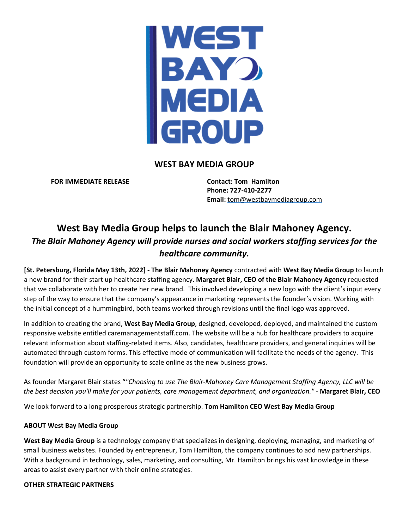WEST **BAY MEDIA** GROUP

## **WEST BAY MEDIA GROUP**

**FOR IMMEDIATE RELEASE Contact: Tom Hamilton**

**Phone: 727-410-2277 Email:** [tom@westbaymediagroup.com](mailto:tom@westbaymediagroup.com)

# **West Bay Media Group helps to launch the Blair Mahoney Agency.**  *The Blair Mahoney Agency will provide nurses and social workers staffing services for the healthcare community.*

**[St. Petersburg, Florida May 13th, 2022] - The Blair Mahoney Agency** contracted with **West Bay Media Group** to launch a new brand for their start up healthcare staffing agency. **Margaret Blair, CEO of the Blair Mahoney Agency** requested that we collaborate with her to create her new brand. This involved developing a new logo with the client's input every step of the way to ensure that the company's appearance in marketing represents the founder's vision. Working with the initial concept of a hummingbird, both teams worked through revisions until the final logo was approved.

In addition to creating the brand, **West Bay Media Group**, designed, developed, deployed, and maintained the custom responsive website entitled caremanagementstaff.com. The website will be a hub for healthcare providers to acquire relevant information about staffing-related items. Also, candidates, healthcare providers, and general inquiries will be automated through custom forms. This effective mode of communication will facilitate the needs of the agency. This foundation will provide an opportunity to scale online as the new business grows.

As founder Margaret Blair states "*"Choosing to use The Blair-Mahoney Care Management Staffing Agency, LLC will be* the best decision you'll make for your patients, care management department, and organization." - Margaret Blair, CEO

We look forward to a long prosperous strategic partnership. **Tom Hamilton CEO West Bay Media Group**

### **ABOUT West Bay Media Group**

**West Bay Media Group** is a technology company that specializes in designing, deploying, managing, and marketing of small business websites. Founded by entrepreneur, Tom Hamilton, the company continues to add new partnerships. With a background in technology, sales, marketing, and consulting, Mr. Hamilton brings his vast knowledge in these areas to assist every partner with their online strategies.

### **OTHER STRATEGIC PARTNERS**